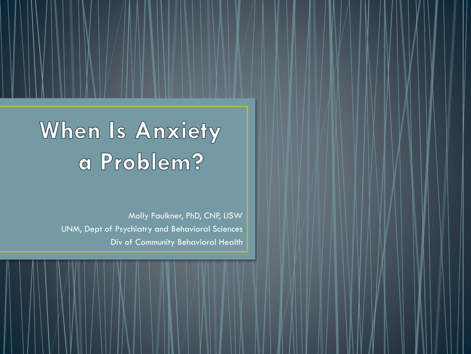# **When Is Anxiety** a Problem?

Molly Faulkner, PhD, CNP, LISW UNM, Dept of Psychiatry and Behavioral Sciences Div of Community Behavioral Health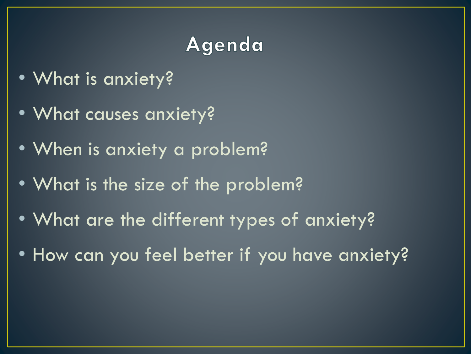# Agenda

- What is anxiety?
- What causes anxiety?
- When is anxiety a problem?
- What is the size of the problem?
- What are the different types of anxiety?
- How can you feel better if you have anxiety?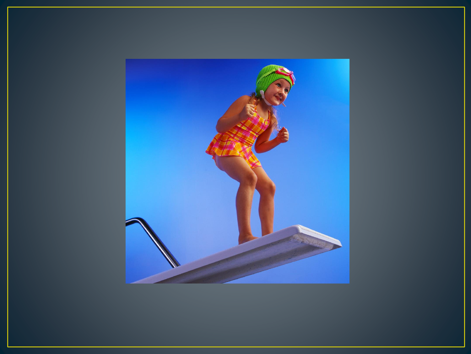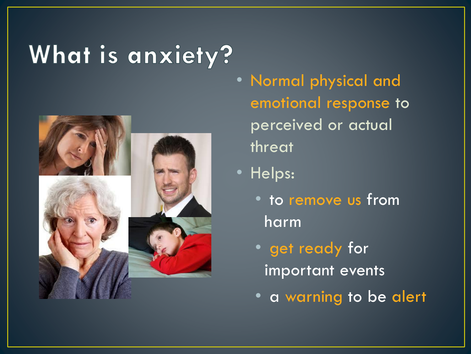# What is anxiety?



- Normal physical and emotional response to perceived or actual threat
- Helps:
	- to remove us from harm
	- get ready for important events
	- a warning to be alert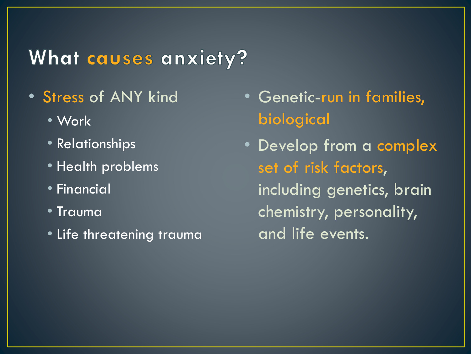#### What causes anxiety?

- Stress of ANY kind
	- Work
	- Relationships
	- Health problems
	- Financial
	- Trauma
	- Life threatening trauma
- Genetic-run in families, biological
- Develop from a complex set of risk factors, including genetics, brain chemistry, personality, and life events.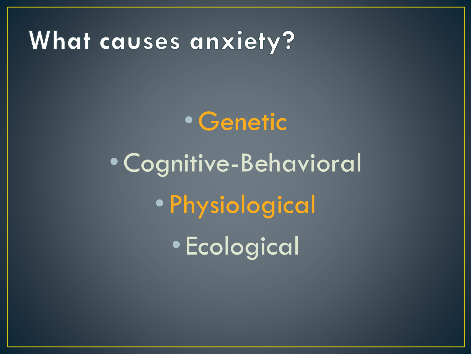What causes anxiety?

# •Genetic

•Cognitive-Behavioral • Physiological • Ecological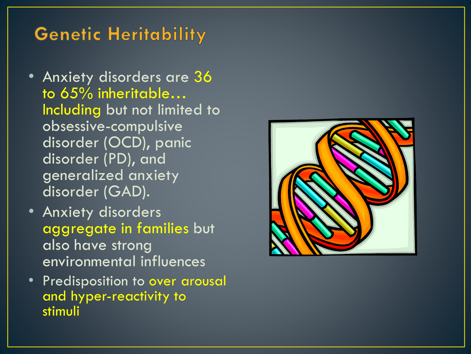#### **Genetic Heritability**

- Anxiety disorders are 36 to 65% inheritable… Including but not limited to obsessive-compulsive disorder (OCD), panic disorder (PD), and generalized anxiety disorder (GAD).
- Anxiety disorders aggregate in families but also have strong environmental influences
- Predisposition to over arousal and hyper-reactivity to stimuli

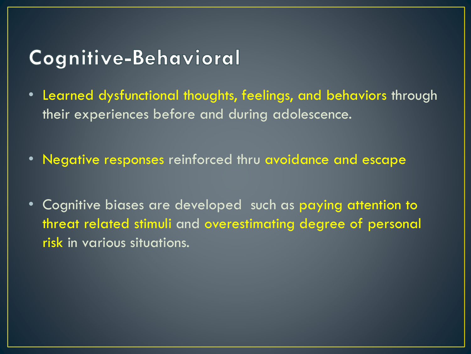### Cognitive-Behavioral

- Learned dysfunctional thoughts, feelings, and behaviors through their experiences before and during adolescence.
- Negative responses reinforced thru avoidance and escape
- Cognitive biases are developed such as paying attention to threat related stimuli and overestimating degree of personal risk in various situations.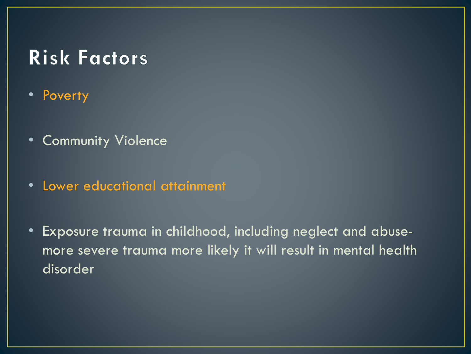#### **Risk Factors**

- Poverty
- Community Violence
- Lower educational attainment
- Exposure trauma in childhood, including neglect and abusemore severe trauma more likely it will result in mental health disorder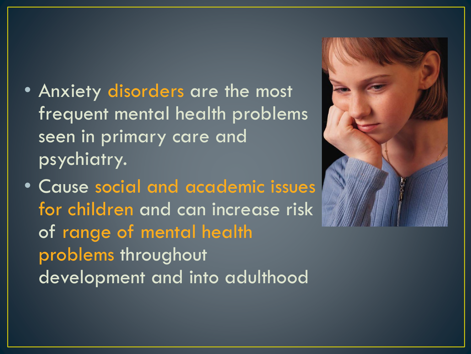- Anxiety disorders are the most frequent mental health problems seen in primary care and psychiatry.
- Cause social and academic issues for children and can increase risk of range of mental health problems throughout development and into adulthood

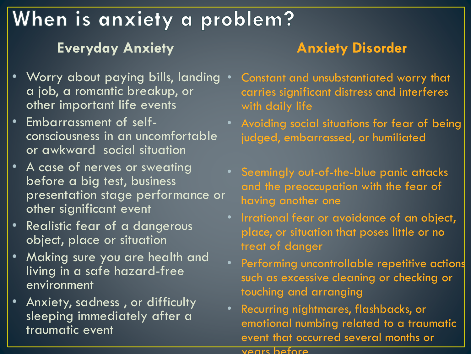### When is anxiety a problem?

#### **Everyday Anxiety**

#### **Anxiety Disorder**

- Worry about paying bills, landing a job, a romantic breakup, or other important life events
- Embarrassment of selfconsciousness in an uncomfortable or awkward social situation
- A case of nerves or sweating before a big test, business presentation stage performance or other significant event
- Realistic fear of a dangerous object, place or situation
- Making sure you are health and living in a safe hazard-free environment
- Anxiety, sadness , or difficulty sleeping immediately after a traumatic event
- Constant and unsubstantiated worry that carries significant distress and interferes with daily life
- Avoiding social situations for fear of being judged, embarrassed, or humiliated
- Seemingly out-of-the-blue panic attacks and the preoccupation with the fear of having another one
- Irrational fear or avoidance of an object, place, or situation that poses little or no treat of danger
- Performing uncontrollable repetitive actions such as excessive cleaning or checking or touching and arranging
- Recurring nightmares, flashbacks, or emotional numbing related to a traumatic event that occurred several months or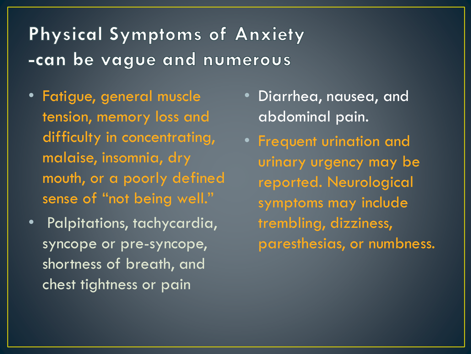### Physical Symptoms of Anxiety -can be vague and numerous

- Fatigue, general muscle tension, memory loss and difficulty in concentrating, malaise, insomnia, dry mouth, or a poorly defined sense of "not being well."
- Palpitations, tachycardia, syncope or pre-syncope, shortness of breath, and chest tightness or pain
- Diarrhea, nausea, and abdominal pain.
- Frequent urination and urinary urgency may be reported. Neurological symptoms may include trembling, dizziness, paresthesias, or numbness.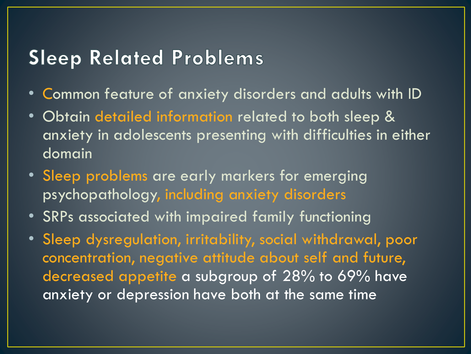#### **Sleep Related Problems**

- Common feature of anxiety disorders and adults with ID
- Obtain detailed information related to both sleep & anxiety in adolescents presenting with difficulties in either domain
- Sleep problems are early markers for emerging psychopathology, including anxiety disorders
- SRPs associated with impaired family functioning
- Sleep dysregulation, irritability, social withdrawal, poor concentration, negative attitude about self and future, decreased appetite a subgroup of 28% to 69% have anxiety or depression have both at the same time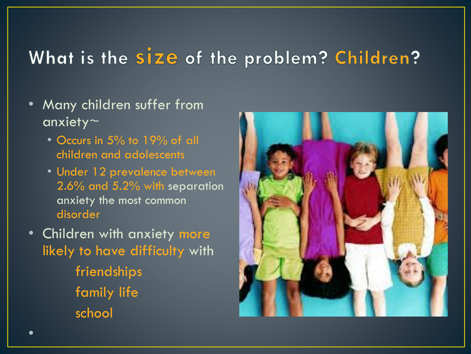### What is the size of the problem? Children?

- Many children suffer from anxiety $\sim$ 
	- Occurs in 5% to 19% of all children and adolescents
	- Under 12 prevalence between 2.6% and 5.2% with separation anxiety the most common disorder
- Children with anxiety more likely to have difficulty with friendships family life school

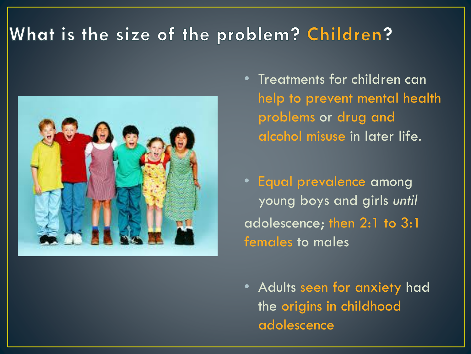#### What is the size of the problem? Children?



• Treatments for children can help to prevent mental health problems or drug and alcohol misuse in later life.

• Equal prevalence among young boys and girls *until* adolescence; then 2:1 to 3:1 females to males

• Adults seen for anxiety had the origins in childhood adolescence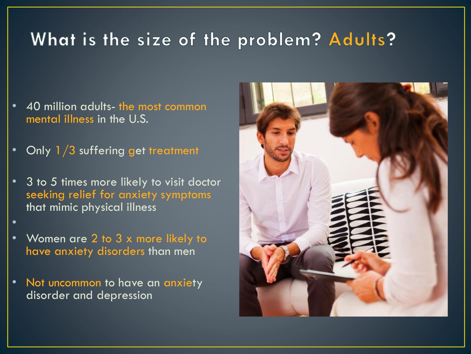#### What is the size of the problem? Adults?

- 40 million adults- the most common mental illness in the U.S.
- Only  $1/3$  suffering get treatment
- 3 to 5 times more likely to visit doctor seeking relief for anxiety symptoms that mimic physical illness
- •
- Women are 2 to 3 x more likely to have anxiety disorders than men
- Not uncommon to have an anxiety disorder and depression

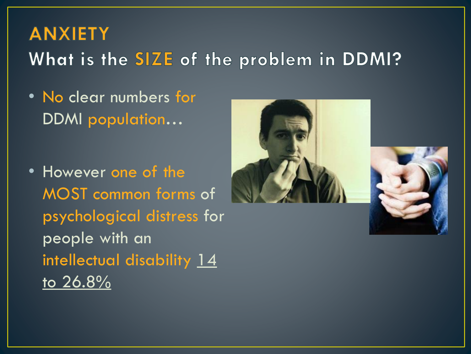# **ANXIETY** What is the SIZE of the problem in DDMI?

- No clear numbers for DDMI population…
- However one of the MOST common forms of psychological distress for people with an intellectual disability 14 to 26.8%



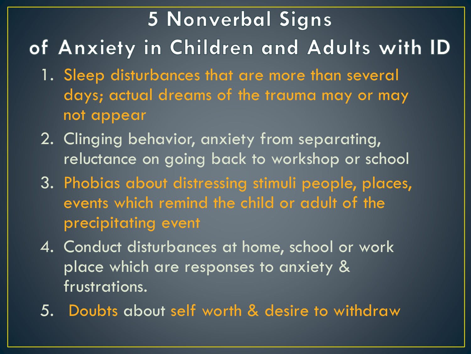# 5 Nonverbal Signs

of Anxiety in Children and Adults with ID

- 1. Sleep disturbances that are more than several days; actual dreams of the trauma may or may not appear
- 2. Clinging behavior, anxiety from separating, reluctance on going back to workshop or school
- 3. Phobias about distressing stimuli people, places, events which remind the child or adult of the precipitating event
- 4. Conduct disturbances at home, school or work place which are responses to anxiety & frustrations.
- 5. Doubts about self worth & desire to withdraw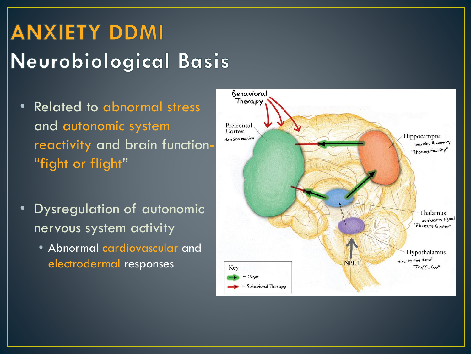# **ANXIETY DDMI** Neurobiological Basis

- Related to abnormal stress and autonomic system reactivity and brain function- "fight or flight"
- Dysregulation of autonomic nervous system activity
	- Abnormal cardiovascular and electrodermal responses

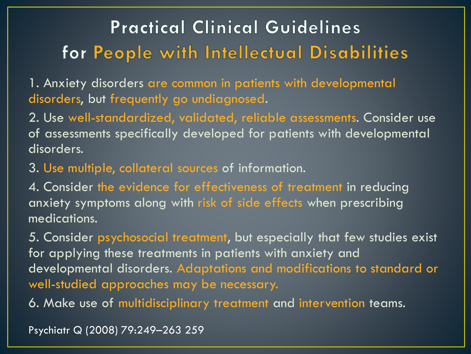## **Practical Clinical Guidelines** for People with Intellectual Disabilities

1. Anxiety disorders are common in patients with developmental disorders, but frequently go undiagnosed.

2. Use well-standardized, validated, reliable assessments. Consider use of assessments specifically developed for patients with developmental disorders.

3. Use multiple, collateral sources of information.

4. Consider the evidence for effectiveness of treatment in reducing anxiety symptoms along with risk of side effects when prescribing medications.

5. Consider psychosocial treatment, but especially that few studies exist for applying these treatments in patients with anxiety and developmental disorders. Adaptations and modifications to standard or well-studied approaches may be necessary.

6. Make use of multidisciplinary treatment and intervention teams.

Psychiatr Q (2008) 79:249–263 259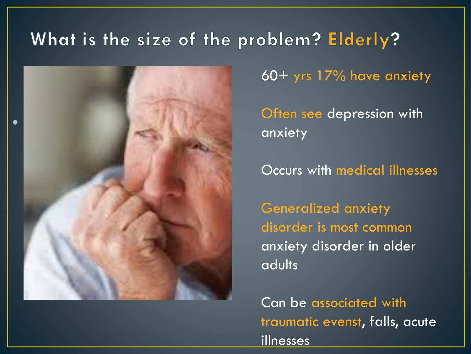#### What is the size of the problem? Elderly?



60+ yrs 17% have anxiety

Often see depression with anxiety

Occurs with medical illnesses

Generalized anxiety disorder is most common anxiety disorder in older adults

Can be associated with traumatic evenst, falls, acute illnesses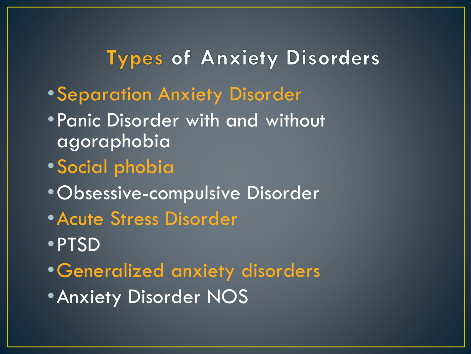### **Types of Anxiety Disorders**

- •Separation Anxiety Disorder
- •Panic Disorder with and without agoraphobia
- •Social phobia
- •Obsessive-compulsive Disorder
- •Acute Stress Disorder
- •PTSD
- •Generalized anxiety disorders

•Anxiety Disorder NOS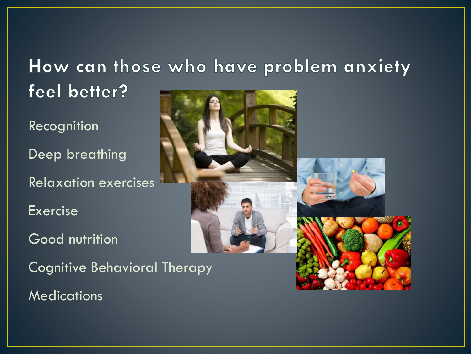## How can those who have problem anxiety feel better?

Recognition Deep breathing Relaxation exercises **Exercise** 

Good nutrition

Cognitive Behavioral Therapy **Medications** 



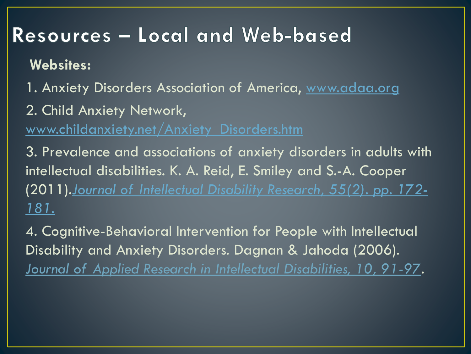### Resources - Local and Web-based

**Websites:**

- 1. Anxiety Disorders Association of America, [www.adaa.org](http://www.adaa.org)
- 2. Child Anxiety Network,

[www.childanxiety.net/Anxiety\\_Disorders.htm](http://www.childanxiety.net/Anxiety_Disorders.htm)

3. Prevalence and associations of anxiety disorders in adults with intellectual disabilities. K. A. Reid, E. Smiley and S.-A. Cooper (2011).*[Journal of Intellectual Disability Research, 55\(2\). pp. 172-](http://eprints.gla.ac.uk/view/journal_volume/Journal_of_Intellectual_Disability_Research.html) 181.*

4. Cognitive-Behavioral Intervention for People with Intellectual Disability and Anxiety Disorders. Dagnan & Jahoda (2006). *Journal of Applied Research in Intellectual Disabilities, 10, 91-97.*